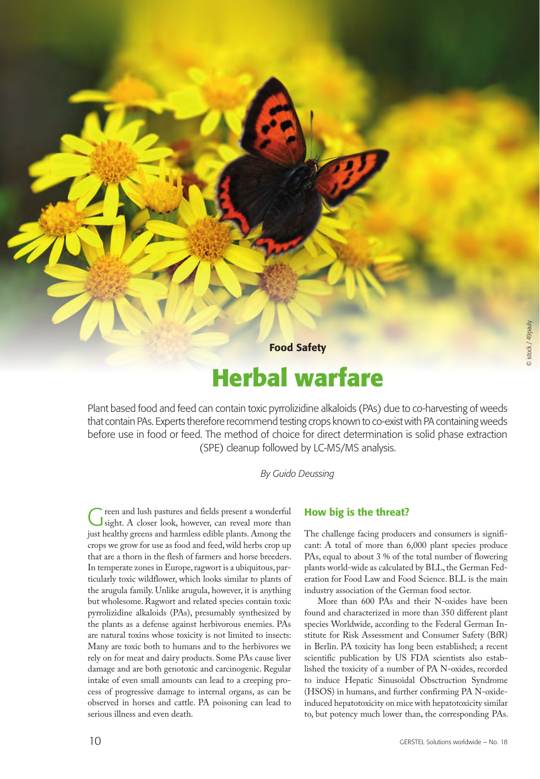Food Safety

# **Herbal warfare**

Plant based food and feed can contain toxic pyrrolizidine alkaloids (PAs) due to co-harvesting of weeds that contain PAs. Experts therefore recommend testing crops known to co-exist with PA containing weeds before use in food or feed. The method of choice for direct determination is solid phase extraction (SPE) cleanup followed by LC-MS/MS analysis.

#### *By Guido Deussing*

Green and lush pastures and fields present a wonderful sight. A closer look, however, can reveal more than just healthy greens and harmless edible plants. Among the crops we grow for use as food and feed, wild herbs crop up that are a thorn in the flesh of farmers and horse breeders. In temperate zones in Europe, ragwort is a ubiquitous, particularly toxic wildflower, which looks similar to plants of the arugula family. Unlike arugula, however, it is anything but wholesome. Ragwort and related species contain toxic pyrrolizidine alkaloids (PAs), presumably synthesized by the plants as a defense against herbivorous enemies. PAs are natural toxins whose toxicity is not limited to insects: Many are toxic both to humans and to the herbivores we rely on for meat and dairy products. Some PAs cause liver damage and are both genotoxic and carcinogenic. Regular intake of even small amounts can lead to a creeping process of progressive damage to internal organs, as can be observed in horses and cattle. PA poisoning can lead to serious illness and even death.

### How big is the threat?

The challenge facing producers and consumers is significant: A total of more than 6,000 plant species produce PAs, equal to about 3 % of the total number of flowering plants world-wide as calculated by BLL, the German Federation for Food Law and Food Science. BLL is the main industry association of the German food sector.

More than 600 PAs and their N-oxides have been found and characterized in more than 350 different plant species Worldwide, according to the Federal German Institute for Risk Assessment and Consumer Safety (BfR) in Berlin. PA toxicity has long been established; a recent scientific publication by US FDA scientists also established the toxicity of a number of PA N-oxides, recorded to induce Hepatic Sinusoidal Obsctruction Syndrome (HSOS) in humans, and further confirming PA N-oxideinduced hepatotoxicity on mice with hepatotoxicity similar to, but potency much lower than, the corresponding PAs.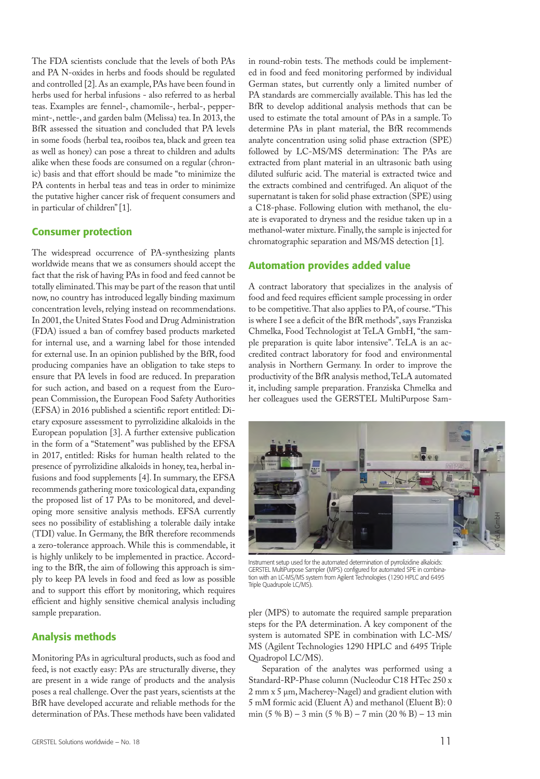The FDA scientists conclude that the levels of both PAs and PA N-oxides in herbs and foods should be regulated and controlled [2]. As an example, PAs have been found in herbs used for herbal infusions - also referred to as herbal teas. Examples are fennel-, chamomile-, herbal-, peppermint-, nettle-, and garden balm (Melissa) tea. In 2013, the BfR assessed the situation and concluded that PA levels in some foods (herbal tea, rooibos tea, black and green tea as well as honey) can pose a threat to children and adults alike when these foods are consumed on a regular (chronic) basis and that effort should be made "to minimize the PA contents in herbal teas and teas in order to minimize the putative higher cancer risk of frequent consumers and in particular of children" [1].

# Consumer protection

The widespread occurrence of PA-synthesizing plants worldwide means that we as consumers should accept the fact that the risk of having PAs in food and feed cannot be totally eliminated. This may be part of the reason that until now, no country has introduced legally binding maximum concentration levels, relying instead on recommendations. In 2001, the United States Food and Drug Administration (FDA) issued a ban of comfrey based products marketed for internal use, and a warning label for those intended for external use. In an opinion published by the BfR, food producing companies have an obligation to take steps to ensure that PA levels in food are reduced. In preparation for such action, and based on a request from the European Commission, the European Food Safety Authorities (EFSA) in 2016 published a scientific report entitled: Dietary exposure assessment to pyrrolizidine alkaloids in the European population [3]. A further extensive publication in the form of a "Statement" was published by the EFSA in 2017, entitled: Risks for human health related to the presence of pyrrolizidine alkaloids in honey, tea, herbal infusions and food supplements [4]. In summary, the EFSA recommends gathering more toxicological data, expanding the proposed list of 17 PAs to be monitored, and developing more sensitive analysis methods. EFSA currently sees no possibility of establishing a tolerable daily intake (TDI) value. In Germany, the BfR therefore recommends a zero-tolerance approach. While this is commendable, it is highly unlikely to be implemented in practice. According to the BfR, the aim of following this approach is simply to keep PA levels in food and feed as low as possible and to support this effort by monitoring, which requires efficient and highly sensitive chemical analysis including sample preparation.

# Analysis methods

Monitoring PAs in agricultural products, such as food and feed, is not exactly easy: PAs are structurally diverse, they are present in a wide range of products and the analysis poses a real challenge. Over the past years, scientists at the BfR have developed accurate and reliable methods for the determination of PAs. These methods have been validated

in round-robin tests. The methods could be implemented in food and feed monitoring performed by individual German states, but currently only a limited number of PA standards are commercially available. This has led the BfR to develop additional analysis methods that can be used to estimate the total amount of PAs in a sample. To determine PAs in plant material, the BfR recommends analyte concentration using solid phase extraction (SPE) followed by LC-MS/MS determination: The PAs are extracted from plant material in an ultrasonic bath using diluted sulfuric acid. The material is extracted twice and the extracts combined and centrifuged. An aliquot of the supernatant is taken for solid phase extraction (SPE) using a C18-phase. Following elution with methanol, the eluate is evaporated to dryness and the residue taken up in a methanol-water mixture. Finally, the sample is injected for chromatographic separation and MS/MS detection [1].

# Automation provides added value

A contract laboratory that specializes in the analysis of food and feed requires efficient sample processing in order to be competitive. That also applies to PA, of course. "This is where I see a deficit of the BfR methods", says Franziska Chmelka, Food Technologist at TeLA GmbH, "the sample preparation is quite labor intensive". TeLA is an accredited contract laboratory for food and environmental analysis in Northern Germany. In order to improve the productivity of the BfR analysis method, TeLA automated it, including sample preparation. Franziska Chmelka and her colleagues used the GERSTEL MultiPurpose Sam-



Instrument setup used for the automated determination of pyrrolizidine alkaloids: GERSTEL MultiPurpose Sampler (MPS) configured for automated SPE in combination with an LC-MS/MS system from Agilent Technologies (1290 HPLC and 6495 Triple Quadrupole LC/MS).

pler (MPS) to automate the required sample preparation steps for the PA determination. A key component of the system is automated SPE in combination with LC-MS/ MS (Agilent Technologies 1290 HPLC and 6495 Triple Quadropol LC/MS).

Separation of the analytes was performed using a Standard-RP-Phase column (Nucleodur C18 HTec 250 x 2 mm x 5 μm, Macherey-Nagel) and gradient elution with 5 mM formic acid (Eluent A) and methanol (Eluent B): 0 min (5 % B) – 3 min (5 % B) – 7 min (20 % B) – 13 min